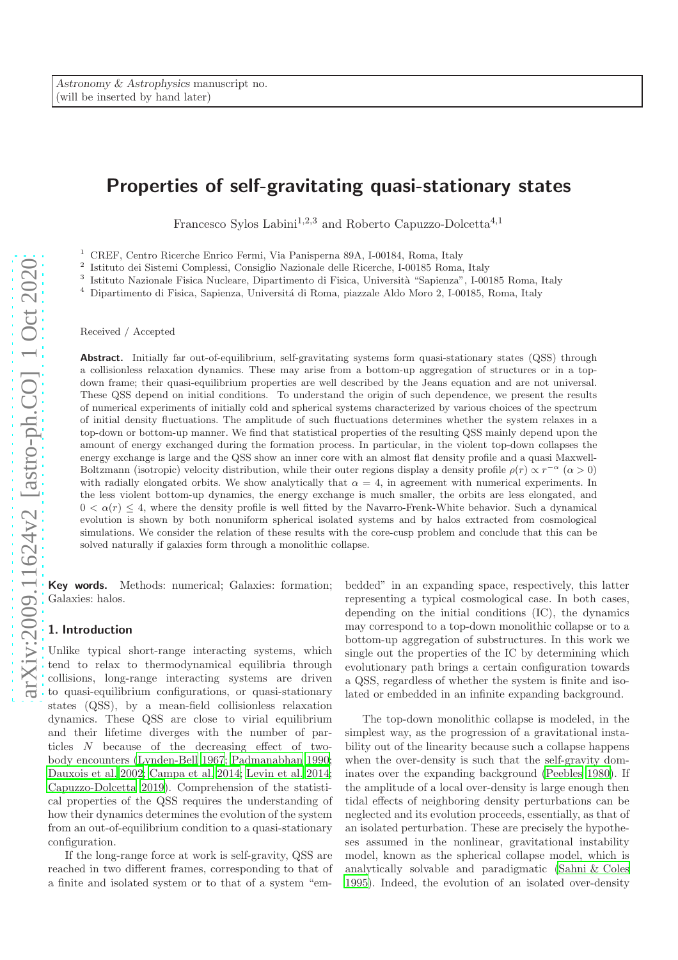# Properties of self-gravitating quasi-stationary states

Francesco Sylos Labini<sup>1,2,3</sup> and Roberto Capuzzo-Dolcetta<sup>4,1</sup>

<sup>1</sup> CREF, Centro Ricerche Enrico Fermi, Via Panisperna 89A, I-00184, Roma, Italy

2 Istituto dei Sistemi Complessi, Consiglio Nazionale delle Ricerche, I-00185 Roma, Italy

<sup>3</sup> Istituto Nazionale Fisica Nucleare, Dipartimento di Fisica, Università "Sapienza", I-00185 Roma, Italy

 $^4\,$  Dipartimento di Fisica, Sapienza, Universitá di Roma, piazzale Aldo Moro 2, I-00185, Roma, Italy

Received / Accepted

Abstract. Initially far out-of-equilibrium, self-gravitating systems form quasi-stationary states (QSS) through a collisionless relaxation dynamics. These may arise from a bottom-up aggregation of structures or in a topdown frame; their quasi-equilibrium properties are well described by the Jeans equation and are not universal. These QSS depend on initial conditions. To understand the origin of such dependence, we present the results of numerical experiments of initially cold and spherical systems characterized by various choices of the spectrum of initial density fluctuations. The amplitude of such fluctuations determines whether the system relaxes in a top-down or bottom-up manner. We find that statistical properties of the resulting QSS mainly depend upon the amount of energy exchanged during the formation process. In particular, in the violent top-down collapses the energy exchange is large and the QSS show an inner core with an almost flat density profile and a quasi Maxwell-Boltzmann (isotropic) velocity distribution, while their outer regions display a density profile  $\rho(r) \propto r^{-\alpha}$  ( $\alpha > 0$ ) with radially elongated orbits. We show analytically that  $\alpha = 4$ , in agreement with numerical experiments. In the less violent bottom-up dynamics, the energy exchange is much smaller, the orbits are less elongated, and  $0 < \alpha(r) \leq 4$ , where the density profile is well fitted by the Navarro-Frenk-White behavior. Such a dynamical evolution is shown by both nonuniform spherical isolated systems and by halos extracted from cosmological simulations. We consider the relation of these results with the core-cusp problem and conclude that this can be solved naturally if galaxies form through a monolithic collapse.

Key words. Methods: numerical; Galaxies: formation; Galaxies: halos.

# 1. Introduction

Unlike typical short-range interacting systems, which tend to relax to thermodynamical equilibria through collisions, long-range interacting systems are driven to quasi-equilibrium configurations, or quasi-stationary states (QSS), by a mean-field collisionless relaxation dynamics. These QSS are close to virial equilibrium and their lifetime diverges with the number of particles N because of the decreasing effect of twobody encounters [\(Lynden-Bell 1967](#page-13-0); [Padmanabhan 1990;](#page-13-1) [Dauxois et al. 2002;](#page-13-2) [Campa et al. 2014;](#page-13-3) [Levin et al. 2014;](#page-13-4) [Capuzzo-Dolcetta 2019](#page-13-5)). Comprehension of the statistical properties of the QSS requires the understanding of how their dynamics determines the evolution of the system from an out-of-equilibrium condition to a quasi-stationary configuration.

If the long-range force at work is self-gravity, QSS are reached in two different frames, corresponding to that of a finite and isolated system or to that of a system "embedded" in an expanding space, respectively, this latter representing a typical cosmological case. In both cases, depending on the initial conditions (IC), the dynamics may correspond to a top-down monolithic collapse or to a bottom-up aggregation of substructures. In this work we single out the properties of the IC by determining which evolutionary path brings a certain configuration towards a QSS, regardless of whether the system is finite and isolated or embedded in an infinite expanding background.

The top-down monolithic collapse is modeled, in the simplest way, as the progression of a gravitational instability out of the linearity because such a collapse happens when the over-density is such that the self-gravity dominates over the expanding background [\(Peebles 1980](#page-13-6)). If the amplitude of a local over-density is large enough then tidal effects of neighboring density perturbations can be neglected and its evolution proceeds, essentially, as that of an isolated perturbation. These are precisely the hypotheses assumed in the nonlinear, gravitational instability model, known as the spherical collapse model, which is analytically solvable and paradigmatic [\(Sahni & Coles](#page-13-7) [1995\)](#page-13-7). Indeed, the evolution of an isolated over-density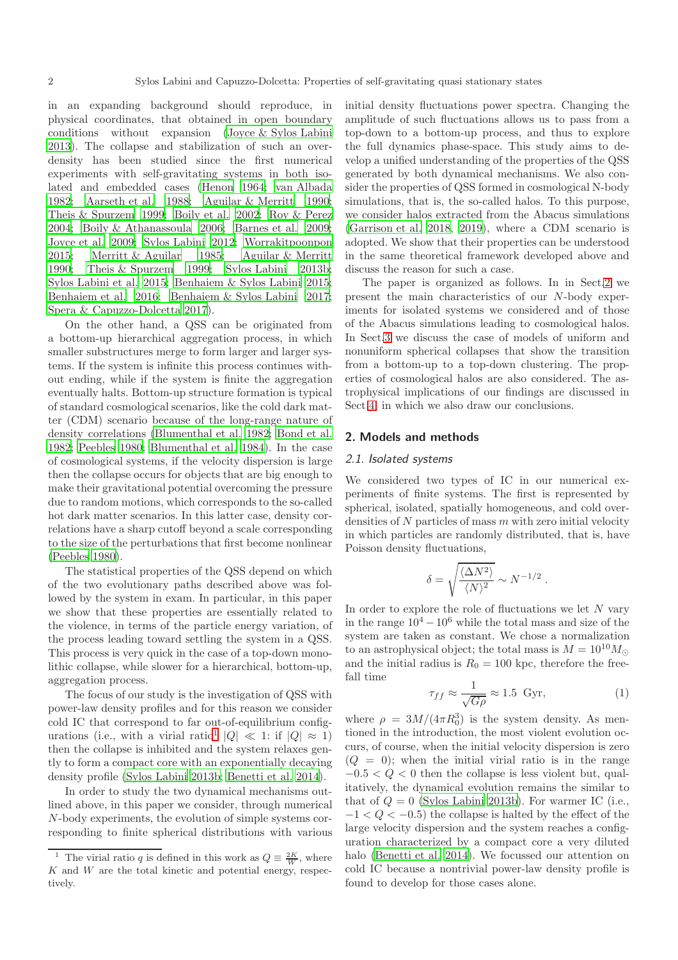in an expanding background should reproduce, in physical coordinates, that obtained in open boundary conditions without expansion [\(Joyce & Sylos Labini](#page-13-8) [2013](#page-13-8)). The collapse and stabilization of such an overdensity has been studied since the first numerical experiments with self-gravitating systems in both isolated and embedded cases [\(Henon 1964;](#page-13-9) [van Albada](#page-14-0) [1982](#page-14-0); [Aarseth et al. 1988;](#page-13-10) [Aguilar & Merritt 1990;](#page-13-11) [Theis & Spurzem 1999](#page-14-1); [Boily et al. 2002;](#page-13-12) [Roy & Perez](#page-13-13) [2004](#page-13-13); [Boily & Athanassoula 2006;](#page-13-14) [Barnes et al. 2009;](#page-13-15) [Joyce et al. 2009;](#page-13-16) [Sylos Labini 2012;](#page-14-2) [Worrakitpoonpon](#page-14-3) [2015](#page-14-3); [Merritt & Aguilar 1985;](#page-13-17) [Aguilar & Merritt](#page-13-11) [1990](#page-13-11); [Theis & Spurzem 1999;](#page-14-1) [Sylos Labini 2013b;](#page-14-4) [Sylos Labini et al. 2015;](#page-14-5) [Benhaiem & Sylos Labini 2015;](#page-13-18) [Benhaiem et al. 2016;](#page-13-19) [Benhaiem & Sylos Labini 2017;](#page-13-20) [Spera & Capuzzo-Dolcetta 2017\)](#page-14-6).

On the other hand, a QSS can be originated from a bottom-up hierarchical aggregation process, in which smaller substructures merge to form larger and larger systems. If the system is infinite this process continues without ending, while if the system is finite the aggregation eventually halts. Bottom-up structure formation is typical of standard cosmological scenarios, like the cold dark matter (CDM) scenario because of the long-range nature of density correlations [\(Blumenthal et al. 1982](#page-13-21); [Bond et al.](#page-13-22) [1982](#page-13-22); [Peebles 1980;](#page-13-6) [Blumenthal et al. 1984\)](#page-13-23). In the case of cosmological systems, if the velocity dispersion is large then the collapse occurs for objects that are big enough to make their gravitational potential overcoming the pressure due to random motions, which corresponds to the so-called hot dark matter scenarios. In this latter case, density correlations have a sharp cutoff beyond a scale corresponding to the size of the perturbations that first become nonlinear [\(Peebles 1980\)](#page-13-6).

The statistical properties of the QSS depend on which of the two evolutionary paths described above was followed by the system in exam. In particular, in this paper we show that these properties are essentially related to the violence, in terms of the particle energy variation, of the process leading toward settling the system in a QSS. This process is very quick in the case of a top-down monolithic collapse, while slower for a hierarchical, bottom-up, aggregation process.

The focus of our study is the investigation of QSS with power-law density profiles and for this reason we consider cold IC that correspond to far out-of-equilibrium config-urations (i.e., with a virial ratio<sup>[1](#page-1-0)</sup>  $|Q| \ll 1$ : if  $|Q| \approx 1$ ) then the collapse is inhibited and the system relaxes gently to form a compact core with an exponentially decaying density profile [\(Sylos Labini 2013b](#page-14-4); [Benetti et al. 2014\)](#page-13-24).

In order to study the two dynamical mechanisms outlined above, in this paper we consider, through numerical N-body experiments, the evolution of simple systems corresponding to finite spherical distributions with various initial density fluctuations power spectra. Changing the amplitude of such fluctuations allows us to pass from a top-down to a bottom-up process, and thus to explore the full dynamics phase-space. This study aims to develop a unified understanding of the properties of the QSS generated by both dynamical mechanisms. We also consider the properties of QSS formed in cosmological N-body simulations, that is, the so-called halos. To this purpose, we consider halos extracted from the Abacus simulations [\(Garrison et al. 2018,](#page-13-25) [2019](#page-13-26)), where a CDM scenario is adopted. We show that their properties can be understood in the same theoretical framework developed above and discuss the reason for such a case.

The paper is organized as follows. In in Sect[.2](#page-1-1) we present the main characteristics of our N-body experiments for isolated systems we considered and of those of the Abacus simulations leading to cosmological halos. In Sect[.3](#page-3-0) we discuss the case of models of uniform and nonuniform spherical collapses that show the transition from a bottom-up to a top-down clustering. The properties of cosmological halos are also considered. The astrophysical implications of our findings are discussed in Sect[.4,](#page-12-0) in which we also draw our conclusions.

#### <span id="page-1-1"></span>2. Models and methods

#### 2.1. Isolated systems

We considered two types of IC in our numerical experiments of finite systems. The first is represented by spherical, isolated, spatially homogeneous, and cold overdensities of  $N$  particles of mass  $m$  with zero initial velocity in which particles are randomly distributed, that is, have Poisson density fluctuations,

$$
\delta = \sqrt{\frac{\langle \Delta N^2 \rangle}{\langle N \rangle^2}} \sim N^{-1/2} .
$$

In order to explore the role of fluctuations we let  $N$  vary in the range  $10^4 - 10^6$  while the total mass and size of the system are taken as constant. We chose a normalization to an astrophysical object; the total mass is  $M = 10^{10} M_{\odot}$ and the initial radius is  $R_0 = 100$  kpc, therefore the freefall time

<span id="page-1-2"></span>
$$
\tau_{ff} \approx \frac{1}{\sqrt{G\rho}} \approx 1.5 \text{ Gyr},\tag{1}
$$

where  $\rho = 3M/(4\pi R_0^3)$  is the system density. As mentioned in the introduction, the most violent evolution occurs, of course, when the initial velocity dispersion is zero  $(Q = 0)$ ; when the initial virial ratio is in the range  $-0.5 < Q < 0$  then the collapse is less violent but, qualitatively, the dynamical evolution remains the similar to that of  $Q = 0$  [\(Sylos Labini 2013b\)](#page-14-4). For warmer IC (i.e.,  $-1 < Q < -0.5$ ) the collapse is halted by the effect of the large velocity dispersion and the system reaches a configuration characterized by a compact core a very diluted halo [\(Benetti et al. 2014\)](#page-13-24). We focussed our attention on cold IC because a nontrivial power-law density profile is found to develop for those cases alone.

<span id="page-1-0"></span><sup>&</sup>lt;sup>1</sup> The virial ratio q is defined in this work as  $Q = \frac{2K}{W}$ , where  $K$  and  $W$  are the total kinetic and potential energy, respectively.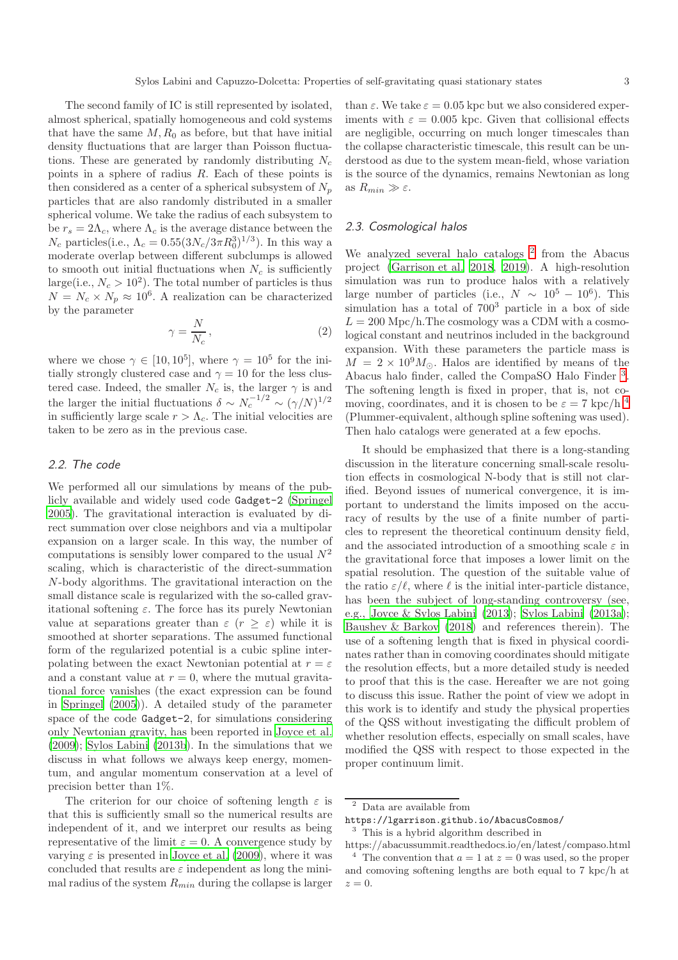The second family of IC is still represented by isolated, almost spherical, spatially homogeneous and cold systems that have the same  $M$ ,  $R_0$  as before, but that have initial density fluctuations that are larger than Poisson fluctuations. These are generated by randomly distributing  $N_c$ points in a sphere of radius R. Each of these points is then considered as a center of a spherical subsystem of  $N_p$ particles that are also randomly distributed in a smaller spherical volume. We take the radius of each subsystem to be  $r_s = 2\Lambda_c$ , where  $\Lambda_c$  is the average distance between the  $N_c$  particles(i.e.,  $\Lambda_c = 0.55 (3N_c/3\pi R_0^3)^{1/3}$ ). In this way a moderate overlap between different subclumps is allowed to smooth out initial fluctuations when  $N_c$  is sufficiently large(i.e.,  $N_c > 10^2$ ). The total number of particles is thus  $N = N_c \times N_p \approx 10^6$ . A realization can be characterized by the parameter

<span id="page-2-3"></span>
$$
\gamma = \frac{N}{N_c},\tag{2}
$$

where we chose  $\gamma \in [10, 10^5]$ , where  $\gamma = 10^5$  for the initially strongly clustered case and  $\gamma = 10$  for the less clustered case. Indeed, the smaller  $N_c$  is, the larger  $\gamma$  is and the larger the initial fluctuations  $\delta \sim N_c^{-1/2} \sim (\gamma/N)^{1/2}$ in sufficiently large scale  $r > \Lambda_c$ . The initial velocities are taken to be zero as in the previous case.

# 2.2. The code

We performed all our simulations by means of the publicly available and widely used code Gadget-2 [\(Springel](#page-14-7) [2005](#page-14-7)). The gravitational interaction is evaluated by direct summation over close neighbors and via a multipolar expansion on a larger scale. In this way, the number of computations is sensibly lower compared to the usual  $N^2$ scaling, which is characteristic of the direct-summation N-body algorithms. The gravitational interaction on the small distance scale is regularized with the so-called gravitational softening  $\varepsilon$ . The force has its purely Newtonian value at separations greater than  $\varepsilon$   $(r \geq \varepsilon)$  while it is smoothed at shorter separations. The assumed functional form of the regularized potential is a cubic spline interpolating between the exact Newtonian potential at  $r = \varepsilon$ and a constant value at  $r = 0$ , where the mutual gravitational force vanishes (the exact expression can be found in [Springel \(2005\)](#page-14-7)). A detailed study of the parameter space of the code Gadget-2, for simulations considering only Newtonian gravity, has been reported in [Joyce et al.](#page-13-16) [\(2009\)](#page-13-16); [Sylos Labini \(2013b\)](#page-14-4). In the simulations that we discuss in what follows we always keep energy, momentum, and angular momentum conservation at a level of precision better than 1%.

The criterion for our choice of softening length  $\varepsilon$  is that this is sufficiently small so the numerical results are independent of it, and we interpret our results as being representative of the limit  $\varepsilon = 0$ . A convergence study by varying  $\varepsilon$  is presented in [Joyce et al. \(2009\)](#page-13-16), where it was concluded that results are  $\varepsilon$  independent as long the minimal radius of the system  $R_{min}$  during the collapse is larger

than  $\varepsilon$ . We take  $\varepsilon = 0.05$  kpc but we also considered experiments with  $\varepsilon = 0.005$  kpc. Given that collisional effects are negligible, occurring on much longer timescales than the collapse characteristic timescale, this result can be understood as due to the system mean-field, whose variation is the source of the dynamics, remains Newtonian as long as  $R_{min} \gg \varepsilon$ .

## 2.3. Cosmological halos

We analyzed several halo catalogs<sup>[2](#page-2-0)</sup> from the Abacus project [\(Garrison et al. 2018,](#page-13-25) [2019\)](#page-13-26). A high-resolution simulation was run to produce halos with a relatively large number of particles (i.e.,  $N \sim 10^5 - 10^6$ ). This simulation has a total of  $700<sup>3</sup>$  particle in a box of side  $L = 200$  Mpc/h. The cosmology was a CDM with a cosmological constant and neutrinos included in the background expansion. With these parameters the particle mass is  $M = 2 \times 10^9 M_{\odot}$ . Halos are identified by means of the Abacus halo finder, called the CompaSO Halo Finder [3](#page-2-1) . The softening length is fixed in proper, that is, not comoving, coordinates, and it is chosen to be  $\varepsilon = 7$  kpc/h<sup>[4](#page-2-2)</sup> (Plummer-equivalent, although spline softening was used). Then halo catalogs were generated at a few epochs.

It should be emphasized that there is a long-standing discussion in the literature concerning small-scale resolution effects in cosmological N-body that is still not clarified. Beyond issues of numerical convergence, it is important to understand the limits imposed on the accuracy of results by the use of a finite number of particles to represent the theoretical continuum density field, and the associated introduction of a smoothing scale  $\varepsilon$  in the gravitational force that imposes a lower limit on the spatial resolution. The question of the suitable value of the ratio  $\varepsilon/\ell$ , where  $\ell$  is the initial inter-particle distance, has been the subject of long-standing controversy (see, e.g., [Joyce & Sylos Labini \(2013\)](#page-13-8); [Sylos Labini \(2013a\)](#page-14-8); [Baushev & Barkov \(2018](#page-13-27)) and references therein). The use of a softening length that is fixed in physical coordinates rather than in comoving coordinates should mitigate the resolution effects, but a more detailed study is needed to proof that this is the case. Hereafter we are not going to discuss this issue. Rather the point of view we adopt in this work is to identify and study the physical properties of the QSS without investigating the difficult problem of whether resolution effects, especially on small scales, have modified the QSS with respect to those expected in the proper continuum limit.

<span id="page-2-0"></span><sup>2</sup> Data are available from

https://lgarrison.github.io/AbacusCosmos/ <sup>3</sup> This is a hybrid algorithm described in

<span id="page-2-2"></span><span id="page-2-1"></span>https://abacussummit.readthedocs.io/en/latest/compaso.html <sup>4</sup> The convention that  $a = 1$  at  $z = 0$  was used, so the proper and comoving softening lengths are both equal to 7 kpc/h at  $z=0.$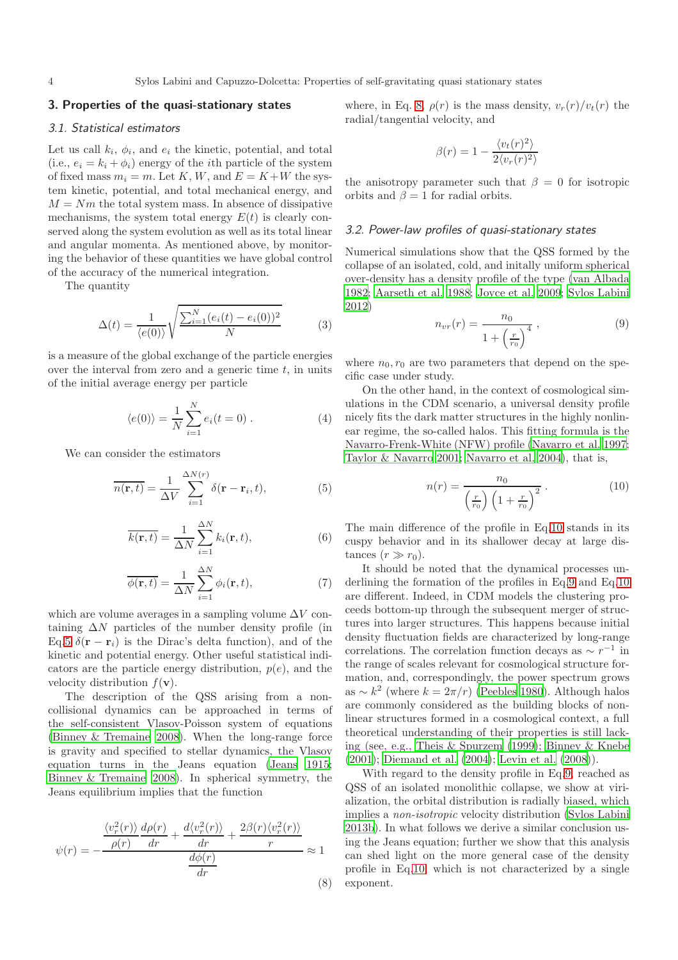# <span id="page-3-0"></span>3. Properties of the quasi-stationary states

#### 3.1. Statistical estimators

Let us call  $k_i$ ,  $\phi_i$ , and  $e_i$  the kinetic, potential, and total (i.e.,  $e_i = k_i + \phi_i$ ) energy of the *i*th particle of the system of fixed mass  $m_i = m$ . Let K, W, and  $E = K + W$  the system kinetic, potential, and total mechanical energy, and  $M = Nm$  the total system mass. In absence of dissipative mechanisms, the system total energy  $E(t)$  is clearly conserved along the system evolution as well as its total linear and angular momenta. As mentioned above, by monitoring the behavior of these quantities we have global control of the accuracy of the numerical integration.

The quantity

<span id="page-3-6"></span>
$$
\Delta(t) = \frac{1}{\langle e(0) \rangle} \sqrt{\frac{\sum_{i=1}^{N} (e_i(t) - e_i(0))^2}{N}}
$$
(3)

is a measure of the global exchange of the particle energies over the interval from zero and a generic time  $t$ , in units of the initial average energy per particle

<span id="page-3-5"></span>
$$
\langle e(0) \rangle = \frac{1}{N} \sum_{i=1}^{N} e_i(t=0) . \tag{4}
$$

We can consider the estimators

<span id="page-3-1"></span>
$$
\overline{n(\mathbf{r},t)} = \frac{1}{\Delta V} \sum_{i=1}^{\Delta N(r)} \delta(\mathbf{r} - \mathbf{r}_i, t),
$$
 (5)

$$
\overline{k(\mathbf{r},t)} = \frac{1}{\Delta N} \sum_{i=1}^{\Delta N} k_i(\mathbf{r},t),
$$
\n(6)

$$
\overline{\phi(\mathbf{r},t)} = \frac{1}{\Delta N} \sum_{i=1}^{\Delta N} \phi_i(\mathbf{r},t),
$$
\n(7)

which are volume averages in a sampling volume  $\Delta V$  containing  $\Delta N$  particles of the number density profile (in Eq[.5](#page-3-1)  $\delta(\mathbf{r} - \mathbf{r}_i)$  is the Dirac's delta function), and of the kinetic and potential energy. Other useful statistical indicators are the particle energy distribution,  $p(e)$ , and the velocity distribution  $f(\mathbf{v})$ .

The description of the QSS arising from a noncollisional dynamics can be approached in terms of the self-consistent Vlasov-Poisson system of equations [\(Binney & Tremaine 2008](#page-13-28)). When the long-range force is gravity and specified to stellar dynamics, the Vlasov equation turns in the Jeans equation [\(Jeans 1915;](#page-13-29) [Binney & Tremaine 2008\)](#page-13-28). In spherical symmetry, the Jeans equilibrium implies that the function

<span id="page-3-2"></span>
$$
\psi(r) = -\frac{\frac{\langle v_r^2(r) \rangle}{\rho(r)} \frac{d\rho(r)}{dr} + \frac{d\langle v_r^2(r) \rangle}{dr} + \frac{2\beta(r)\langle v_r^2(r) \rangle}{r}}{\frac{d\phi(r)}{dr}} \approx 1
$$
\n(8)

where, in Eq. [8,](#page-3-2)  $\rho(r)$  is the mass density,  $v_r(r)/v_t(r)$  the radial/tangential velocity, and

$$
\beta(r) = 1 - \frac{\langle v_t(r)^2 \rangle}{2 \langle v_r(r)^2 \rangle}
$$

the anisotropy parameter such that  $\beta = 0$  for isotropic orbits and  $\beta = 1$  for radial orbits.

#### 3.2. Power-law profiles of quasi-stationary states

Numerical simulations show that the QSS formed by the collapse of an isolated, cold, and initally uniform spherical over-density has a density profile of the type [\(van Albada](#page-14-0) [1982;](#page-14-0) [Aarseth et al. 1988;](#page-13-10) [Joyce et al. 2009](#page-13-16); [Sylos Labini](#page-14-2) [2012\)](#page-14-2)

<span id="page-3-4"></span>
$$
n_{vr}(r) = \frac{n_0}{1 + \left(\frac{r}{r_0}\right)^4} \,,\tag{9}
$$

where  $n_0, r_0$  are two parameters that depend on the specific case under study.

On the other hand, in the context of cosmological simulations in the CDM scenario, a universal density profile nicely fits the dark matter structures in the highly nonlinear regime, the so-called halos. This fitting formula is the Navarro-Frenk-White (NFW) profile [\(Navarro et al. 1997;](#page-13-30) [Taylor & Navarro 2001](#page-14-9); [Navarro et al. 2004\)](#page-13-31), that is,

<span id="page-3-3"></span>
$$
n(r) = \frac{n_0}{\left(\frac{r}{r_0}\right)\left(1 + \frac{r}{r_0}\right)^2} \,. \tag{10}
$$

The main difference of the profile in Eq[.10](#page-3-3) stands in its cuspy behavior and in its shallower decay at large distances  $(r \gg r_0)$ .

It should be noted that the dynamical processes underlining the formation of the profiles in Eq[.9](#page-3-4) and Eq[.10](#page-3-3) are different. Indeed, in CDM models the clustering proceeds bottom-up through the subsequent merger of structures into larger structures. This happens because initial density fluctuation fields are characterized by long-range correlations. The correlation function decays as  $\sim r^{-1}$  in the range of scales relevant for cosmological structure formation, and, correspondingly, the power spectrum grows as ~  $k^2$  (where  $k = 2\pi/r$ ) [\(Peebles 1980\)](#page-13-6). Although halos are commonly considered as the building blocks of nonlinear structures formed in a cosmological context, a full theoretical understanding of their properties is still lacking (see, e.g., [Theis & Spurzem \(1999\)](#page-14-1); [Binney & Knebe](#page-13-32) [\(2001\)](#page-13-32); [Diemand et al. \(2004\)](#page-13-33); [Levin et al. \(2008](#page-13-34))).

With regard to the density profile in Eq[.9,](#page-3-4) reached as QSS of an isolated monolithic collapse, we show at virialization, the orbital distribution is radially biased, which implies a non-isotropic velocity distribution [\(Sylos Labini](#page-14-4) [2013b\)](#page-14-4). In what follows we derive a similar conclusion using the Jeans equation; further we show that this analysis can shed light on the more general case of the density profile in Eq[.10,](#page-3-3) which is not characterized by a single exponent.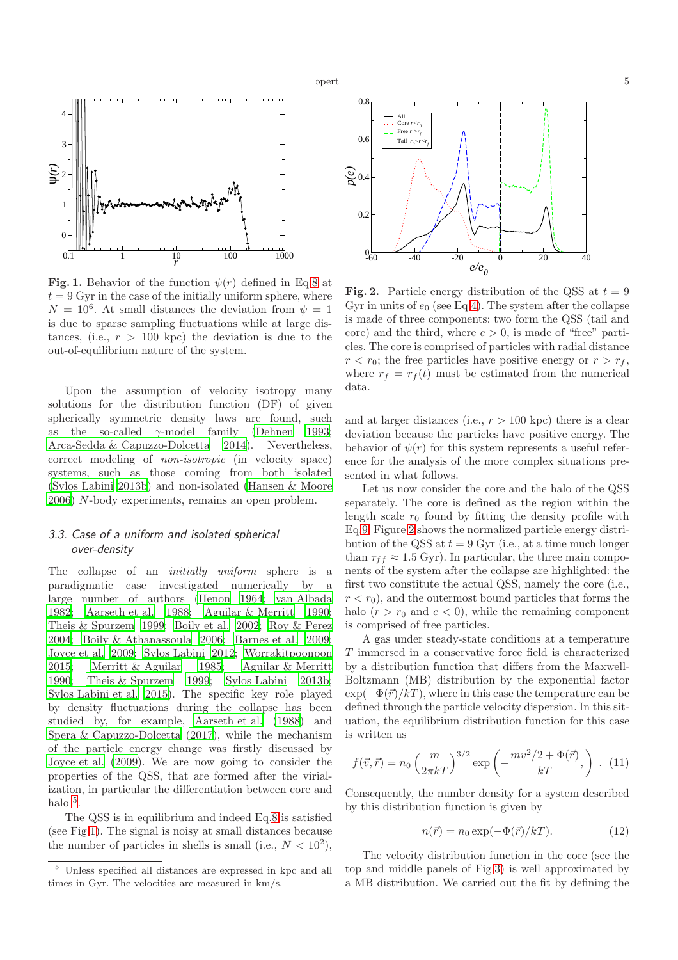

<span id="page-4-1"></span>Fig. 1. Behavior of the function  $\psi(r)$  defined in Eq[.8](#page-3-2) at  $t = 9$  Gyr in the case of the initially uniform sphere, where  $N = 10^6$ . At small distances the deviation from  $\psi = 1$ is due to sparse sampling fluctuations while at large distances, (i.e.,  $r > 100$  kpc) the deviation is due to the out-of-equilibrium nature of the system.

Upon the assumption of velocity isotropy many solutions for the distribution function (DF) of given spherically symmetric density laws are found, such as the so-called  $\gamma$ -model family [\(Dehnen 1993;](#page-13-35) [Arca-Sedda & Capuzzo-Dolcetta 2014\)](#page-13-36). Nevertheless, correct modeling of non-isotropic (in velocity space) systems, such as those coming from both isolated [\(Sylos Labini 2013b](#page-14-4)) and non-isolated [\(Hansen & Moore](#page-13-37) [2006](#page-13-37)) N-body experiments, remains an open problem.

# 3.3. Case of a uniform and isolated spherical over-density

The collapse of an *initially uniform* sphere is a paradigmatic case investigated numerically by a large number of authors [\(Henon 1964;](#page-13-9) [van Albada](#page-14-0) [1982](#page-14-0); [Aarseth et al. 1988;](#page-13-10) [Aguilar & Merritt 1990;](#page-13-11) [Theis & Spurzem 1999](#page-14-1); [Boily et al. 2002;](#page-13-12) [Roy & Perez](#page-13-13) [2004](#page-13-13); [Boily & Athanassoula 2006;](#page-13-14) [Barnes et al. 2009;](#page-13-15) [Joyce et al. 2009;](#page-13-16) [Sylos Labini 2012;](#page-14-2) [Worrakitpoonpon](#page-14-3) [2015](#page-14-3); [Merritt & Aguilar 1985;](#page-13-17) [Aguilar & Merritt](#page-13-11) [1990](#page-13-11); [Theis & Spurzem 1999;](#page-14-1) [Sylos Labini 2013b;](#page-14-4) [Sylos Labini et al. 2015](#page-14-5)). The specific key role played by density fluctuations during the collapse has been studied by, for example, [Aarseth et al. \(1988](#page-13-10)) and [Spera & Capuzzo-Dolcetta \(2017\)](#page-14-6), while the mechanism of the particle energy change was firstly discussed by [Joyce et al. \(2009\)](#page-13-16). We are now going to consider the properties of the QSS, that are formed after the virialization, in particular the differentiation between core and halo  $^5$  $^5$ .

The QSS is in equilibrium and indeed Eq[.8](#page-3-2) is satisfied (see Fig[.1\)](#page-4-1). The signal is noisy at small distances because the number of particles in shells is small (i.e.,  $N < 10^2$ ),



<span id="page-4-2"></span>**Fig. 2.** Particle energy distribution of the QSS at  $t = 9$ Gyr in units of  $e_0$  (see Eq[.4\)](#page-3-5). The system after the collapse is made of three components: two form the QSS (tail and core) and the third, where  $e > 0$ , is made of "free" particles. The core is comprised of particles with radial distance  $r < r_0$ ; the free particles have positive energy or  $r > r_f$ , where  $r_f = r_f(t)$  must be estimated from the numerical data.

and at larger distances (i.e.,  $r > 100$  kpc) there is a clear deviation because the particles have positive energy. The behavior of  $\psi(r)$  for this system represents a useful reference for the analysis of the more complex situations presented in what follows.

Let us now consider the core and the halo of the QSS separately. The core is defined as the region within the length scale  $r_0$  found by fitting the density profile with Eq[.9.](#page-3-4) Figure [2](#page-4-2) shows the normalized particle energy distribution of the QSS at  $t = 9$  Gyr (i.e., at a time much longer than  $\tau_{ff} \approx 1.5$  Gyr). In particular, the three main components of the system after the collapse are highlighted: the first two constitute the actual QSS, namely the core (i.e.,  $r < r_0$ , and the outermost bound particles that forms the halo  $(r > r_0$  and  $e < 0$ , while the remaining component is comprised of free particles.

A gas under steady-state conditions at a temperature T immersed in a conservative force field is characterized by a distribution function that differs from the Maxwell-Boltzmann (MB) distribution by the exponential factor  $\exp(-\Phi(\vec{r})/kT)$ , where in this case the temperature can be defined through the particle velocity dispersion. In this situation, the equilibrium distribution function for this case is written as

$$
f(\vec{v}, \vec{r}) = n_0 \left(\frac{m}{2\pi kT}\right)^{3/2} \exp\left(-\frac{mv^2/2 + \Phi(\vec{r})}{kT},\right) . (11)
$$

Consequently, the number density for a system described by this distribution function is given by

<span id="page-4-3"></span>
$$
n(\vec{r}) = n_0 \exp(-\Phi(\vec{r})/kT). \tag{12}
$$

The velocity distribution function in the core (see the top and middle panels of Fig[.3\)](#page-5-0) is well approximated by a MB distribution. We carried out the fit by defining the

<span id="page-4-0"></span><sup>5</sup> Unless specified all distances are expressed in kpc and all times in Gyr. The velocities are measured in km/s.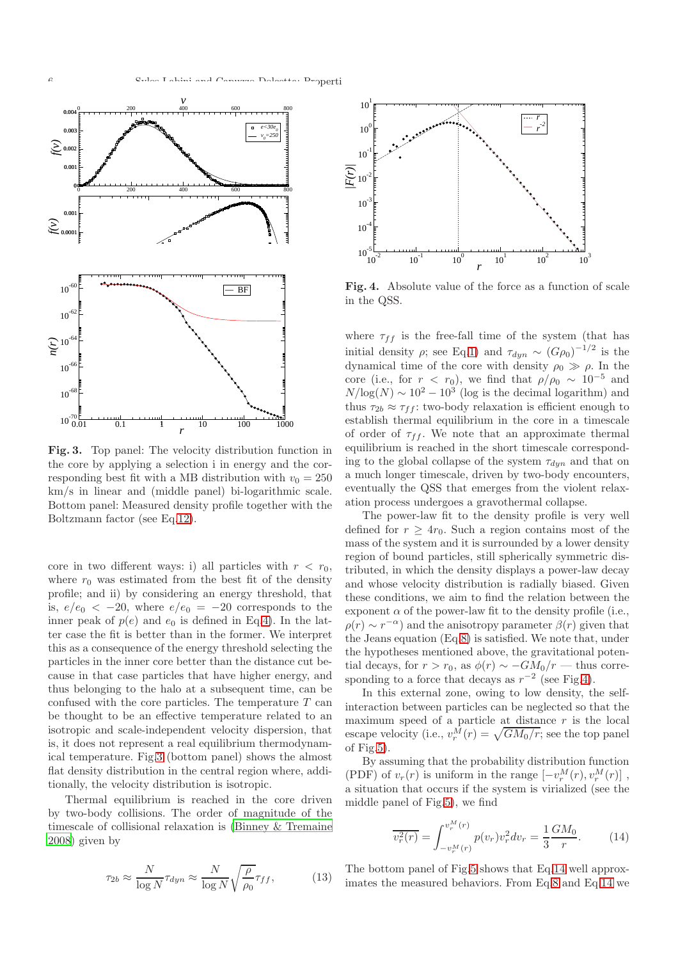

<span id="page-5-0"></span>Fig. 3. Top panel: The velocity distribution function in the core by applying a selection i in energy and the corresponding best fit with a MB distribution with  $v_0 = 250$ km/s in linear and (middle panel) bi-logarithmic scale. Bottom panel: Measured density profile together with the Boltzmann factor (see Eq[.12\)](#page-4-3).

core in two different ways: i) all particles with  $r < r_0$ , where  $r_0$  was estimated from the best fit of the density profile; and ii) by considering an energy threshold, that is,  $e/e_0 < -20$ , where  $e/e_0 = -20$  corresponds to the inner peak of  $p(e)$  and  $e_0$  is defined in Eq[.4\)](#page-3-5). In the latter case the fit is better than in the former. We interpret this as a consequence of the energy threshold selecting the particles in the inner core better than the distance cut because in that case particles that have higher energy, and thus belonging to the halo at a subsequent time, can be confused with the core particles. The temperature  $T$  can be thought to be an effective temperature related to an isotropic and scale-independent velocity dispersion, that is, it does not represent a real equilibrium thermodynamical temperature. Fig[.3](#page-5-0) (bottom panel) shows the almost flat density distribution in the central region where, additionally, the velocity distribution is isotropic.

Thermal equilibrium is reached in the core driven by two-body collisions. The order of magnitude of the timescale of collisional relaxation is [\(Binney & Tremaine](#page-13-28) [2008](#page-13-28)) given by

$$
\tau_{2b} \approx \frac{N}{\log N} \tau_{dyn} \approx \frac{N}{\log N} \sqrt{\frac{\rho}{\rho_0}} \tau_{ff}, \tag{13}
$$



<span id="page-5-1"></span>Fig. 4. Absolute value of the force as a function of scale in the QSS.

where  $\tau_{ff}$  is the free-fall time of the system (that has initial density  $\rho$ ; see Eq[.1\)](#page-1-2) and  $\tau_{dyn} \sim (G \rho_0)^{-1/2}$  is the dynamical time of the core with density  $\rho_0 \gg \rho$ . In the core (i.e., for  $r < r_0$ ), we find that  $\rho/\rho_0 \sim 10^{-5}$  and  $N/\log(N) \sim 10^2 - 10^3$  (log is the decimal logarithm) and thus  $\tau_{2b} \approx \tau_{ff}$ : two-body relaxation is efficient enough to establish thermal equilibrium in the core in a timescale of order of  $\tau_{ff}$ . We note that an approximate thermal equilibrium is reached in the short timescale corresponding to the global collapse of the system  $\tau_{dyn}$  and that on a much longer timescale, driven by two-body encounters, eventually the QSS that emerges from the violent relaxation process undergoes a gravothermal collapse.

The power-law fit to the density profile is very well defined for  $r \geq 4r_0$ . Such a region contains most of the mass of the system and it is surrounded by a lower density region of bound particles, still spherically symmetric distributed, in which the density displays a power-law decay and whose velocity distribution is radially biased. Given these conditions, we aim to find the relation between the exponent  $\alpha$  of the power-law fit to the density profile (i.e.,  $\rho(r) \sim r^{-\alpha}$ ) and the anisotropy parameter  $\beta(r)$  given that the Jeans equation (Eq[.8\)](#page-3-2) is satisfied. We note that, under the hypotheses mentioned above, the gravitational potential decays, for  $r > r_0$ , as  $\phi(r) \sim -GM_0/r$  — thus corresponding to a force that decays as  $r^{-2}$  (see Fig[.4\)](#page-5-1).

In this external zone, owing to low density, the selfinteraction between particles can be neglected so that the maximum speed of a particle at distance  $r$  is the local escape velocity (i.e.,  $v_r^M(r) = \sqrt{GM_0/r}$ ; see the top panel of Fig[.5\)](#page-6-0).

By assuming that the probability distribution function (PDF) of  $v_r(r)$  is uniform in the range  $[-v_r^M(r), v_r^M(r)]$ , a situation that occurs if the system is virialized (see the middle panel of Fig[.5\)](#page-6-0), we find

<span id="page-5-2"></span>
$$
\overline{v_r^2(r)} = \int_{-v_r^M(r)}^{v_r^M(r)} p(v_r) v_r^2 dv_r = \frac{1}{3} \frac{GM_0}{r}.
$$
 (14)

The bottom panel of Fig[.5](#page-6-0) shows that Eq[.14](#page-5-2) well approximates the measured behaviors. From Eq[.8](#page-3-2) and Eq[.14](#page-5-2) we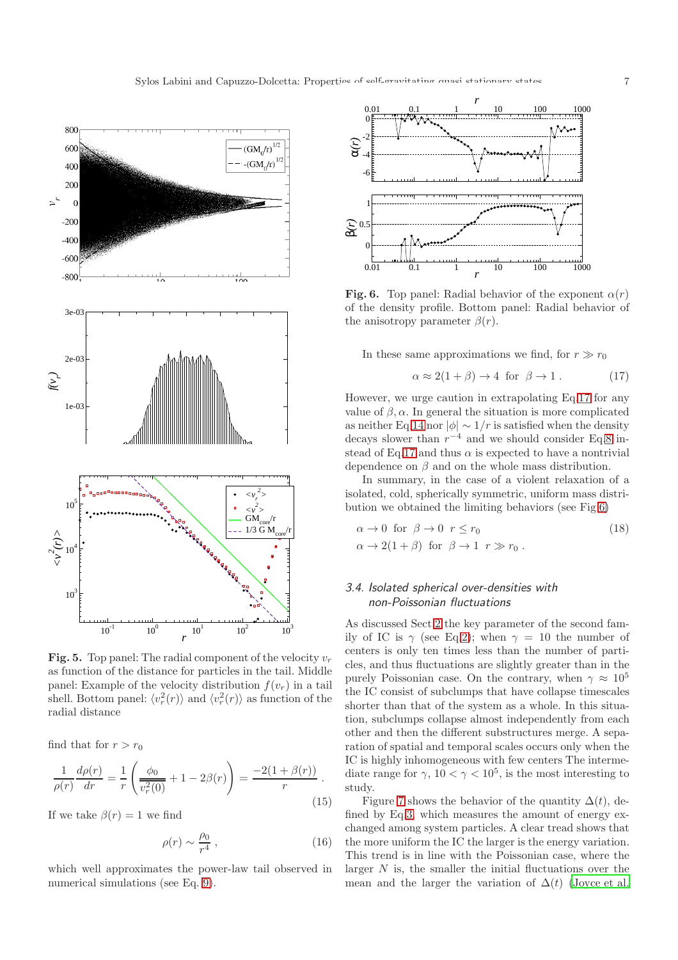

<span id="page-6-0"></span>**Fig. 5.** Top panel: The radial component of the velocity  $v_r$ as function of the distance for particles in the tail. Middle panel: Example of the velocity distribution  $f(v_r)$  in a tail shell. Bottom panel:  $\langle v_r^2(r) \rangle$  and  $\langle v_r^2(r) \rangle$  as function of the radial distance

find that for  $r > r_0$ 

$$
\frac{1}{\rho(r)} \frac{d\rho(r)}{dr} = \frac{1}{r} \left( \frac{\phi_0}{v_r^2(0)} + 1 - 2\beta(r) \right) = \frac{-2(1+\beta(r))}{r}.
$$
\n(15)

If we take  $\beta(r) = 1$  we find

$$
\rho(r) \sim \frac{\rho_0}{r^4} \,,\tag{16}
$$

which well approximates the power-law tail observed in numerical simulations (see Eq. [9\)](#page-3-4).



<span id="page-6-2"></span>**Fig. 6.** Top panel: Radial behavior of the exponent  $\alpha(r)$ of the density profile. Bottom panel: Radial behavior of the anisotropy parameter  $\beta(r)$ .

In these same approximations we find, for  $r \gg r_0$ 

<span id="page-6-1"></span>
$$
\alpha \approx 2(1+\beta) \to 4 \text{ for } \beta \to 1. \tag{17}
$$

However, we urge caution in extrapolating Eq[.17](#page-6-1) for any value of  $\beta$ ,  $\alpha$ . In general the situation is more complicated as neither Eq[.14](#page-5-2) nor  $|\phi| \sim 1/r$  is satisfied when the density decays slower than  $r^{-4}$  and we should consider Eq[.8](#page-3-2) in-stead of Eq[.17](#page-6-1) and thus  $\alpha$  is expected to have a nontrivial dependence on  $\beta$  and on the whole mass distribution.

In summary, in the case of a violent relaxation of a isolated, cold, spherically symmetric, uniform mass distribution we obtained the limiting behaviors (see Fig[.6\)](#page-6-2)

$$
\alpha \to 0 \text{ for } \beta \to 0 \quad r \le r_0
$$
  
\n
$$
\alpha \to 2(1+\beta) \text{ for } \beta \to 1 \quad r \gg r_0 .
$$
\n(18)

# 3.4. Isolated spherical over-densities with non-Poissonian fluctuations

As discussed Sect[.2](#page-1-1) the key parameter of the second family of IC is  $\gamma$  (see Eq[.2\)](#page-2-3); when  $\gamma = 10$  the number of centers is only ten times less than the number of particles, and thus fluctuations are slightly greater than in the purely Poissonian case. On the contrary, when  $\gamma \approx 10^5$ the IC consist of subclumps that have collapse timescales shorter than that of the system as a whole. In this situation, subclumps collapse almost independently from each other and then the different substructures merge. A separation of spatial and temporal scales occurs only when the IC is highly inhomogeneous with few centers The intermediate range for  $\gamma$ ,  $10 < \gamma < 10^5$ , is the most interesting to study.

Figure [7](#page-7-0) shows the behavior of the quantity  $\Delta(t)$ , defined by Eq[.3,](#page-3-6) which measures the amount of energy exchanged among system particles. A clear tread shows that the more uniform the IC the larger is the energy variation. This trend is in line with the Poissonian case, where the larger  $N$  is, the smaller the initial fluctuations over the mean and the larger the variation of  $\Delta(t)$  [\(Joyce et al.](#page-13-16)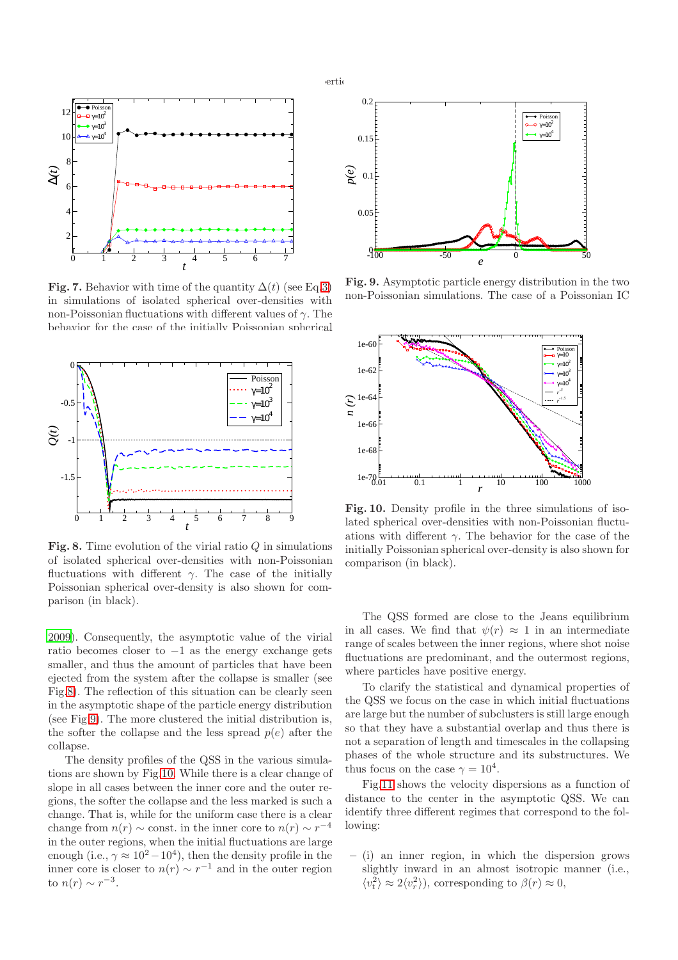



<span id="page-7-0"></span>Fig. 7. Behavior with time of the quantity  $\Delta(t)$  (see Eq[.3\)](#page-3-6) in simulations of isolated spherical over-densities with non-Poissonian fluctuations with different values of  $\gamma$ . The behavior for the case of the initially Poissonian spherical



<span id="page-7-1"></span>Fig. 8. Time evolution of the virial ratio  $Q$  in simulations of isolated spherical over-densities with non-Poissonian fluctuations with different  $\gamma$ . The case of the initially Poissonian spherical over-density is also shown for comparison (in black).

[2009](#page-13-16)). Consequently, the asymptotic value of the virial ratio becomes closer to  $-1$  as the energy exchange gets smaller, and thus the amount of particles that have been ejected from the system after the collapse is smaller (see Fig[.8\)](#page-7-1). The reflection of this situation can be clearly seen in the asymptotic shape of the particle energy distribution (see Fig[.9\)](#page-7-2). The more clustered the initial distribution is, the softer the collapse and the less spread  $p(e)$  after the collapse.

The density profiles of the QSS in the various simulations are shown by Fig[.10.](#page-7-3) While there is a clear change of slope in all cases between the inner core and the outer regions, the softer the collapse and the less marked is such a change. That is, while for the uniform case there is a clear change from  $n(r) \sim$  const. in the inner core to  $n(r) \sim r^{-4}$ in the outer regions, when the initial fluctuations are large enough (i.e.,  $\gamma \approx 10^2 - 10^4$ ), then the density profile in the inner core is closer to  $n(r) \sim r^{-1}$  and in the outer region to  $n(r) \sim r^{-3}$ .



<span id="page-7-2"></span>Fig. 9. Asymptotic particle energy distribution in the two non-Poissonian simulations. The case of a Poissonian IC



<span id="page-7-3"></span>Fig. 10. Density profile in the three simulations of isolated spherical over-densities with non-Poissonian fluctuations with different  $\gamma$ . The behavior for the case of the initially Poissonian spherical over-density is also shown for comparison (in black).

The QSS formed are close to the Jeans equilibrium in all cases. We find that  $\psi(r) \approx 1$  in an intermediate range of scales between the inner regions, where shot noise fluctuations are predominant, and the outermost regions, where particles have positive energy.

To clarify the statistical and dynamical properties of the QSS we focus on the case in which initial fluctuations are large but the number of subclusters is still large enough so that they have a substantial overlap and thus there is not a separation of length and timescales in the collapsing phases of the whole structure and its substructures. We thus focus on the case  $\gamma = 10^4$ .

Fig[.11](#page-8-0) shows the velocity dispersions as a function of distance to the center in the asymptotic QSS. We can identify three different regimes that correspond to the following:

– (i) an inner region, in which the dispersion grows slightly inward in an almost isotropic manner (i.e.,  $\langle v_t^2 \rangle \approx 2 \langle v_r^2 \rangle$ , corresponding to  $\beta(r) \approx 0$ ,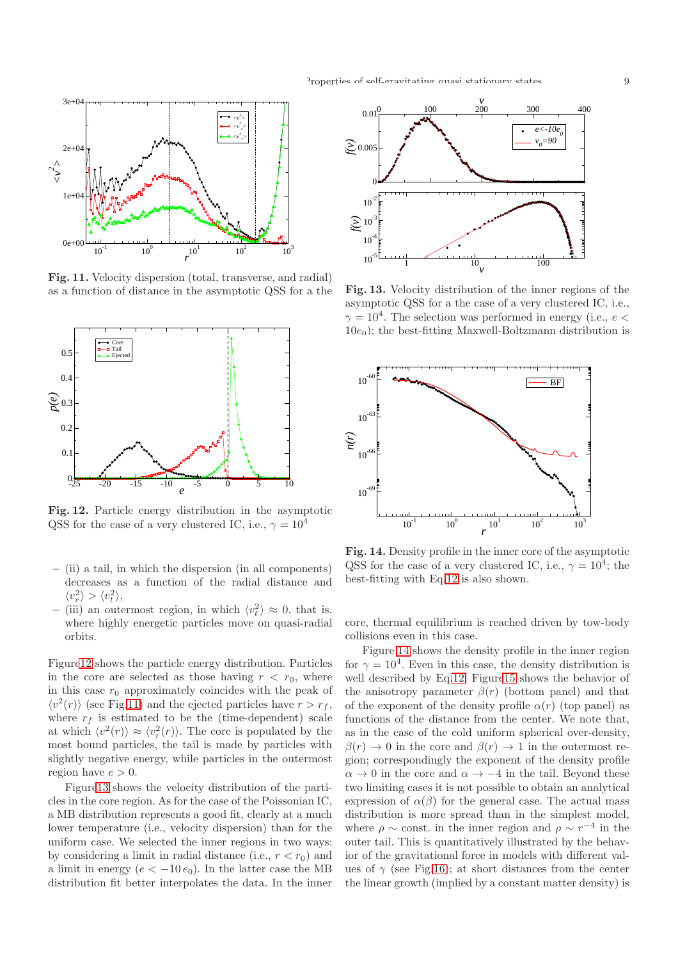

<span id="page-8-0"></span>Fig. 11. Velocity dispersion (total, transverse, and radial) as a function of distance in the asymptotic QSS for a the



<span id="page-8-1"></span>Fig. 12. Particle energy distribution in the asymptotic QSS for the case of a very clustered IC, i.e.,  $\gamma = 10^4$ 

- (ii) a tail, in which the dispersion (in all components) decreases as a function of the radial distance and  $\langle v_r^2 \rangle > \langle v_t^2 \rangle,$
- (iii) an outermost region, in which  $\langle v_t^2 \rangle \approx 0$ , that is, where highly energetic particles move on quasi-radial orbits.

Figur[e12](#page-8-1) shows the particle energy distribution. Particles in the core are selected as those having  $r < r_0$ , where in this case  $r_0$  approximately coincides with the peak of  $\langle v^2(r) \rangle$  (see Fig[.11\)](#page-8-0) and the ejected particles have  $r > r_f$ , where  $r_f$  is estimated to be the (time-dependent) scale at which  $\langle v^2(r) \rangle \approx \langle v_r^2(r) \rangle$ . The core is populated by the most bound particles, the tail is made by particles with slightly negative energy, while particles in the outermost region have  $e > 0$ .

Figur[e13](#page-8-2) shows the velocity distribution of the particles in the core region. As for the case of the Poissonian IC, a MB distribution represents a good fit, clearly at a much lower temperature (i.e., velocity dispersion) than for the uniform case. We selected the inner regions in two ways: by considering a limit in radial distance (i.e.,  $r < r_0$ ) and a limit in energy  $(e < -10 e_0)$ . In the latter case the MB distribution fit better interpolates the data. In the inner



<span id="page-8-2"></span>Fig. 13. Velocity distribution of the inner regions of the asymptotic QSS for a the case of a very clustered IC, i.e.,  $\gamma = 10^4$ . The selection was performed in energy (i.e.,  $e <$  $10e<sub>0</sub>$ ); the best-fitting Maxwell-Boltzmann distribution is



<span id="page-8-3"></span>Fig. 14. Density profile in the inner core of the asymptotic QSS for the case of a very clustered IC, i.e.,  $\gamma = 10^4$ ; the best-fitting with Eq[.12](#page-4-3) is also shown.

core, thermal equilibrium is reached driven by tow-body collisions even in this case.

Figure [14](#page-8-3) shows the density profile in the inner region for  $\gamma = 10^4$ . Even in this case, the density distribution is well described by Eq[.12.](#page-4-3) Figur[e15](#page-9-0) shows the behavior of the anisotropy parameter  $\beta(r)$  (bottom panel) and that of the exponent of the density profile  $\alpha(r)$  (top panel) as functions of the distance from the center. We note that, as in the case of the cold uniform spherical over-density,  $\beta(r) \to 0$  in the core and  $\beta(r) \to 1$  in the outermost region; correspondingly the exponent of the density profile  $\alpha \to 0$  in the core and  $\alpha \to -4$  in the tail. Beyond these two limiting cases it is not possible to obtain an analytical expression of  $\alpha(\beta)$  for the general case. The actual mass distribution is more spread than in the simplest model, where  $\rho \sim \text{const.}$  in the inner region and  $\rho \sim r^{-4}$  in the outer tail. This is quantitatively illustrated by the behavior of the gravitational force in models with different values of  $\gamma$  (see Fig[.16\)](#page-9-1); at short distances from the center the linear growth (implied by a constant matter density) is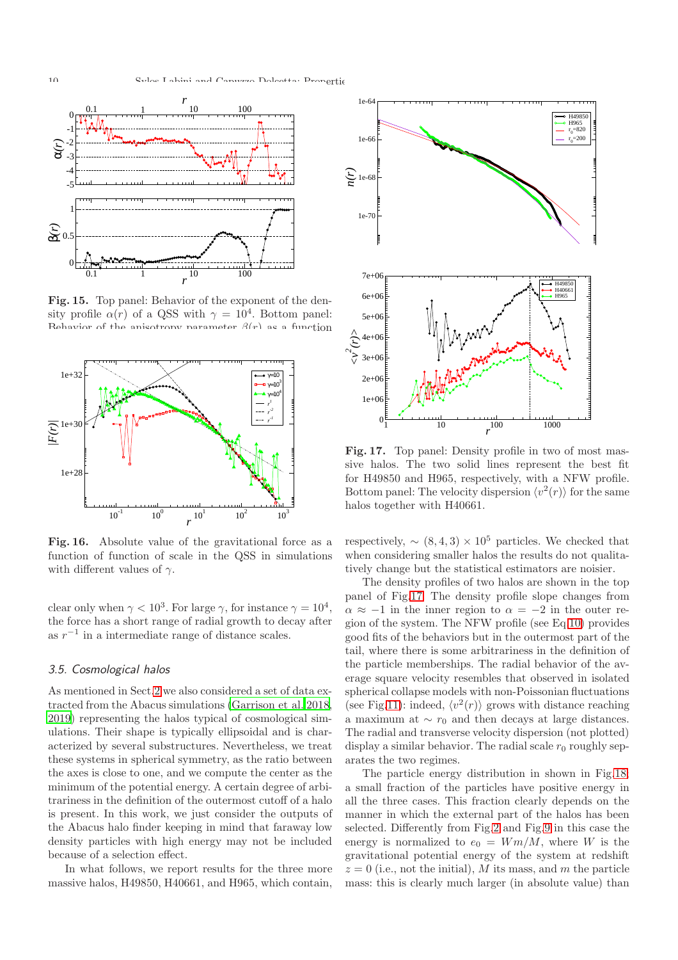

<span id="page-9-0"></span>Fig. 15. Top panel: Behavior of the exponent of the density profile  $\alpha(r)$  of a QSS with  $\gamma = 10^4$ . Bottom panel: Behavior of the anisotropy parameter  $\beta(r)$  as a function



<span id="page-9-1"></span>Fig. 16. Absolute value of the gravitational force as a function of function of scale in the QSS in simulations with different values of  $\gamma$ .

clear only when  $\gamma < 10^3$ . For large  $\gamma$ , for instance  $\gamma = 10^4$ , the force has a short range of radial growth to decay after as  $r^{-1}$  in a intermediate range of distance scales.

# 3.5. Cosmological halos

As mentioned in Sect[.2](#page-1-1) we also considered a set of data extracted from the Abacus simulations [\(Garrison et al. 2018,](#page-13-25) [2019](#page-13-26)) representing the halos typical of cosmological simulations. Their shape is typically ellipsoidal and is characterized by several substructures. Nevertheless, we treat these systems in spherical symmetry, as the ratio between the axes is close to one, and we compute the center as the minimum of the potential energy. A certain degree of arbitrariness in the definition of the outermost cutoff of a halo is present. In this work, we just consider the outputs of the Abacus halo finder keeping in mind that faraway low density particles with high energy may not be included because of a selection effect.

In what follows, we report results for the three more massive halos, H49850, H40661, and H965, which contain,



<span id="page-9-2"></span>Fig. 17. Top panel: Density profile in two of most massive halos. The two solid lines represent the best fit for H49850 and H965, respectively, with a NFW profile. Bottom panel: The velocity dispersion  $\langle v^2(r) \rangle$  for the same halos together with H40661.

respectively,  $\sim (8, 4, 3) \times 10^5$  particles. We checked that when considering smaller halos the results do not qualitatively change but the statistical estimators are noisier.

The density profiles of two halos are shown in the top panel of Fig[.17.](#page-9-2) The density profile slope changes from  $\alpha \approx -1$  in the inner region to  $\alpha = -2$  in the outer region of the system. The NFW profile (see Eq[.10\)](#page-3-3) provides good fits of the behaviors but in the outermost part of the tail, where there is some arbitrariness in the definition of the particle memberships. The radial behavior of the average square velocity resembles that observed in isolated spherical collapse models with non-Poissonian fluctuations (see Fig[.11\)](#page-8-0): indeed,  $\langle v^2(r) \rangle$  grows with distance reaching a maximum at  $\sim r_0$  and then decays at large distances. The radial and transverse velocity dispersion (not plotted) display a similar behavior. The radial scale  $r_0$  roughly separates the two regimes.

The particle energy distribution in shown in Fig[.18;](#page-10-0) a small fraction of the particles have positive energy in all the three cases. This fraction clearly depends on the manner in which the external part of the halos has been selected. Differently from Fig[.2](#page-4-2) and Fig[.9](#page-7-2) in this case the energy is normalized to  $e_0 = Wm/M$ , where W is the gravitational potential energy of the system at redshift  $z = 0$  (i.e., not the initial), M its mass, and m the particle mass: this is clearly much larger (in absolute value) than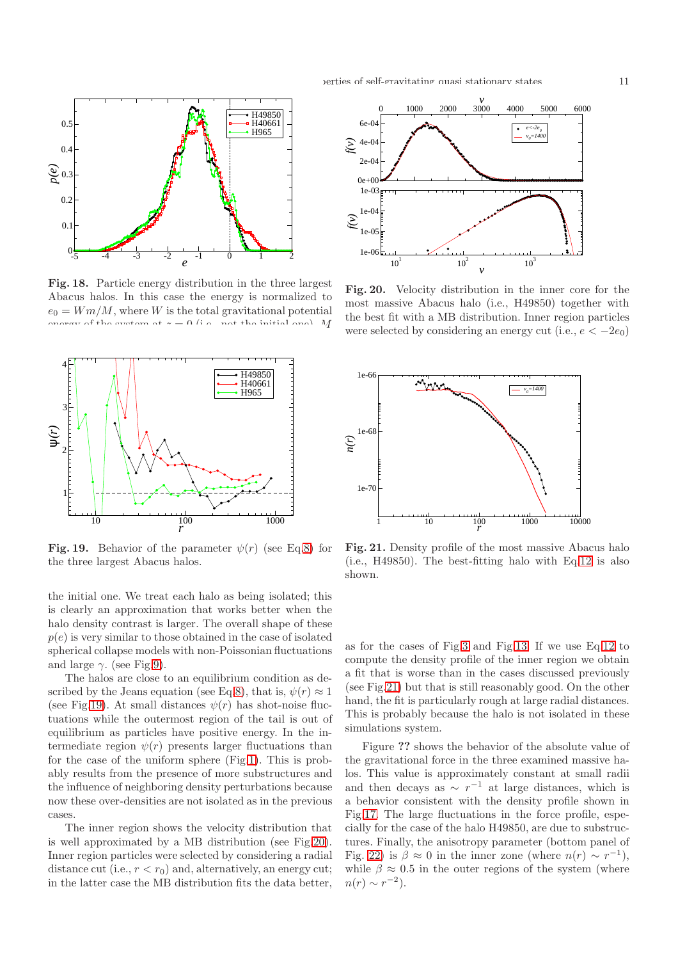

<span id="page-10-0"></span>Fig. 18. Particle energy distribution in the three largest Abacus halos. In this case the energy is normalized to  $e_0 = Wm/M$ , where W is the total gravitational potential<br>concern of the evotence  $\alpha = 0$  (i.e., not the initial one). M of the system at  $x = 0$  (i.e., not the initial one)



<span id="page-10-1"></span>Fig. 19. Behavior of the parameter  $\psi(r)$  (see Eq[.8\)](#page-3-2) for the three largest Abacus halos.

the initial one. We treat each halo as being isolated; this is clearly an approximation that works better when the halo density contrast is larger. The overall shape of these  $p(e)$  is very similar to those obtained in the case of isolated spherical collapse models with non-Poissonian fluctuations and large  $\gamma$ . (see Fig[.9\)](#page-7-2).

The halos are close to an equilibrium condition as de-scribed by the Jeans equation (see Eq[.8\)](#page-3-2), that is,  $\psi(r) \approx 1$ (see Fig[.19\)](#page-10-1). At small distances  $\psi(r)$  has shot-noise fluctuations while the outermost region of the tail is out of equilibrium as particles have positive energy. In the intermediate region  $\psi(r)$  presents larger fluctuations than for the case of the uniform sphere (Fig[.1\)](#page-4-1). This is probably results from the presence of more substructures and the influence of neighboring density perturbations because now these over-densities are not isolated as in the previous cases.

The inner region shows the velocity distribution that is well approximated by a MB distribution (see Fig[.20\)](#page-10-2). Inner region particles were selected by considering a radial distance cut (i.e.,  $r < r_0$ ) and, alternatively, an energy cut; in the latter case the MB distribution fits the data better,



<span id="page-10-2"></span>Fig. 20. Velocity distribution in the inner core for the most massive Abacus halo (i.e., H49850) together with the best fit with a MB distribution. Inner region particles were selected by considering an energy cut (i.e.,  $e < -2e_0$ )



<span id="page-10-3"></span>Fig. 21. Density profile of the most massive Abacus halo (i.e., H49850). The best-fitting halo with Eq[.12](#page-4-3) is also shown.

as for the cases of Fig[.3](#page-5-0) and Fig[.13.](#page-8-2) If we use Eq[.12](#page-4-3) to compute the density profile of the inner region we obtain a fit that is worse than in the cases discussed previously (see Fig[.21\)](#page-10-3) but that is still reasonably good. On the other hand, the fit is particularly rough at large radial distances. This is probably because the halo is not isolated in these simulations system.

Figure ?? shows the behavior of the absolute value of the gravitational force in the three examined massive halos. This value is approximately constant at small radii and then decays as  $\sim r^{-1}$  at large distances, which is a behavior consistent with the density profile shown in Fig[.17.](#page-9-2) The large fluctuations in the force profile, especially for the case of the halo H49850, are due to substructures. Finally, the anisotropy parameter (bottom panel of Fig. [22\)](#page-11-0) is  $\beta \approx 0$  in the inner zone (where  $n(r) \sim r^{-1}$ ), while  $\beta \approx 0.5$  in the outer regions of the system (where  $n(r) \sim r^{-2}$ ).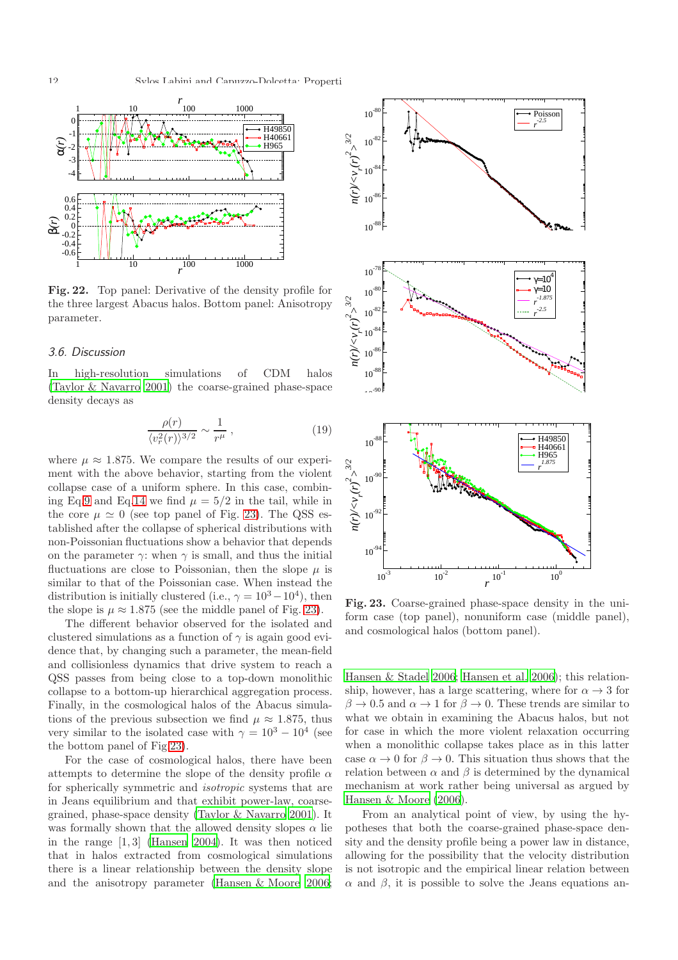

<span id="page-11-0"></span>Fig. 22. Top panel: Derivative of the density profile for the three largest Abacus halos. Bottom panel: Anisotropy parameter.

#### 3.6. Discussion

In high-resolution simulations of CDM halos [\(Taylor & Navarro 2001\)](#page-14-9) the coarse-grained phase-space density decays as

$$
\frac{\rho(r)}{\langle v_r^2(r)\rangle^{3/2}} \sim \frac{1}{r^{\mu}} \,, \tag{19}
$$

where  $\mu \approx 1.875$ . We compare the results of our experiment with the above behavior, starting from the violent collapse case of a uniform sphere. In this case, combin-ing Eq[.9](#page-3-4) and Eq[.14](#page-5-2) we find  $\mu = 5/2$  in the tail, while in the core  $\mu \simeq 0$  (see top panel of Fig. [23\)](#page-11-1). The QSS established after the collapse of spherical distributions with non-Poissonian fluctuations show a behavior that depends on the parameter  $\gamma$ : when  $\gamma$  is small, and thus the initial fluctuations are close to Poissonian, then the slope  $\mu$  is similar to that of the Poissonian case. When instead the distribution is initially clustered (i.e.,  $\gamma = 10^3 - 10^4$ ), then the slope is  $\mu \approx 1.875$  (see the middle panel of Fig. [23\)](#page-11-1).

The different behavior observed for the isolated and clustered simulations as a function of  $\gamma$  is again good evidence that, by changing such a parameter, the mean-field and collisionless dynamics that drive system to reach a QSS passes from being close to a top-down monolithic collapse to a bottom-up hierarchical aggregation process. Finally, in the cosmological halos of the Abacus simulations of the previous subsection we find  $\mu \approx 1.875$ , thus very similar to the isolated case with  $\gamma = 10^3 - 10^4$  (see the bottom panel of Fig[.23\)](#page-11-1).

For the case of cosmological halos, there have been attempts to determine the slope of the density profile  $\alpha$ for spherically symmetric and isotropic systems that are in Jeans equilibrium and that exhibit power-law, coarsegrained, phase-space density [\(Taylor & Navarro 2001\)](#page-14-9). It was formally shown that the allowed density slopes  $\alpha$  lie in the range [1, 3] [\(Hansen 2004\)](#page-13-38). It was then noticed that in halos extracted from cosmological simulations there is a linear relationship between the density slope and the anisotropy parameter [\(Hansen & Moore 2006;](#page-13-37)



<span id="page-11-1"></span>Fig. 23. Coarse-grained phase-space density in the uniform case (top panel), nonuniform case (middle panel), and cosmological halos (bottom panel).

[Hansen & Stadel 2006;](#page-13-39) [Hansen et al. 2006\)](#page-13-40); this relationship, however, has a large scattering, where for  $\alpha \rightarrow 3$  for  $\beta \to 0.5$  and  $\alpha \to 1$  for  $\beta \to 0$ . These trends are similar to what we obtain in examining the Abacus halos, but not for case in which the more violent relaxation occurring when a monolithic collapse takes place as in this latter case  $\alpha \to 0$  for  $\beta \to 0$ . This situation thus shows that the relation between  $\alpha$  and  $\beta$  is determined by the dynamical mechanism at work rather being universal as argued by [Hansen & Moore \(2006](#page-13-37)).

From an analytical point of view, by using the hypotheses that both the coarse-grained phase-space density and the density profile being a power law in distance, allowing for the possibility that the velocity distribution is not isotropic and the empirical linear relation between  $\alpha$  and  $\beta$ , it is possible to solve the Jeans equations an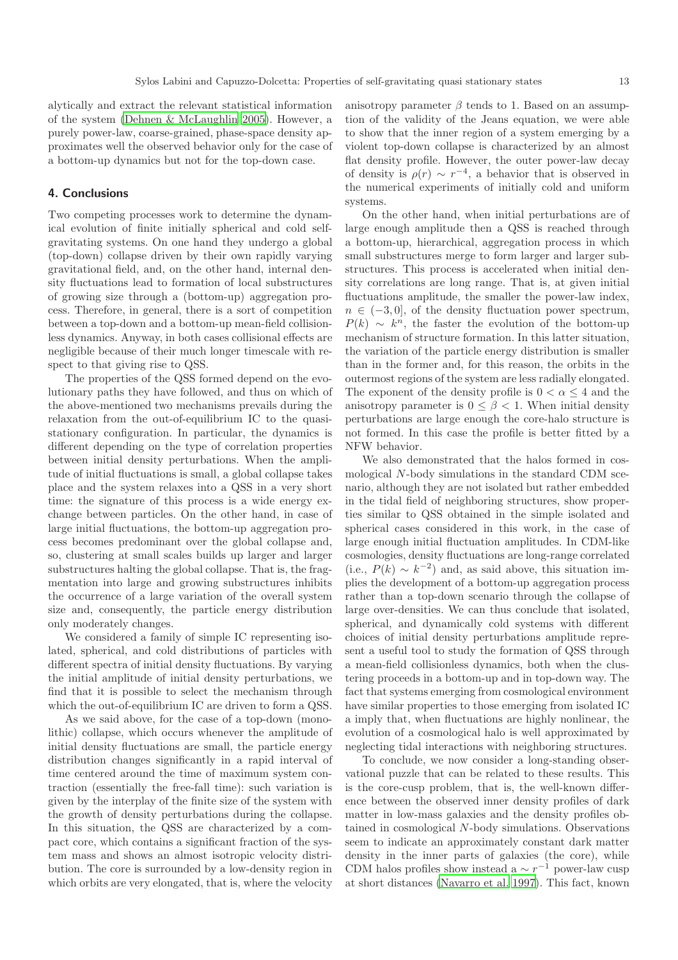alytically and extract the relevant statistical information of the system [\(Dehnen & McLaughlin 2005\)](#page-13-41). However, a purely power-law, coarse-grained, phase-space density approximates well the observed behavior only for the case of a bottom-up dynamics but not for the top-down case.

# <span id="page-12-0"></span>4. Conclusions

Two competing processes work to determine the dynamical evolution of finite initially spherical and cold selfgravitating systems. On one hand they undergo a global (top-down) collapse driven by their own rapidly varying gravitational field, and, on the other hand, internal density fluctuations lead to formation of local substructures of growing size through a (bottom-up) aggregation process. Therefore, in general, there is a sort of competition between a top-down and a bottom-up mean-field collisionless dynamics. Anyway, in both cases collisional effects are negligible because of their much longer timescale with respect to that giving rise to QSS.

The properties of the QSS formed depend on the evolutionary paths they have followed, and thus on which of the above-mentioned two mechanisms prevails during the relaxation from the out-of-equilibrium IC to the quasistationary configuration. In particular, the dynamics is different depending on the type of correlation properties between initial density perturbations. When the amplitude of initial fluctuations is small, a global collapse takes place and the system relaxes into a QSS in a very short time: the signature of this process is a wide energy exchange between particles. On the other hand, in case of large initial fluctuations, the bottom-up aggregation process becomes predominant over the global collapse and, so, clustering at small scales builds up larger and larger substructures halting the global collapse. That is, the fragmentation into large and growing substructures inhibits the occurrence of a large variation of the overall system size and, consequently, the particle energy distribution only moderately changes.

We considered a family of simple IC representing isolated, spherical, and cold distributions of particles with different spectra of initial density fluctuations. By varying the initial amplitude of initial density perturbations, we find that it is possible to select the mechanism through which the out-of-equilibrium IC are driven to form a QSS.

As we said above, for the case of a top-down (monolithic) collapse, which occurs whenever the amplitude of initial density fluctuations are small, the particle energy distribution changes significantly in a rapid interval of time centered around the time of maximum system contraction (essentially the free-fall time): such variation is given by the interplay of the finite size of the system with the growth of density perturbations during the collapse. In this situation, the QSS are characterized by a compact core, which contains a significant fraction of the system mass and shows an almost isotropic velocity distribution. The core is surrounded by a low-density region in which orbits are very elongated, that is, where the velocity

anisotropy parameter  $\beta$  tends to 1. Based on an assumption of the validity of the Jeans equation, we were able to show that the inner region of a system emerging by a violent top-down collapse is characterized by an almost flat density profile. However, the outer power-law decay of density is  $\rho(r) \sim r^{-4}$ , a behavior that is observed in the numerical experiments of initially cold and uniform systems.

On the other hand, when initial perturbations are of large enough amplitude then a QSS is reached through a bottom-up, hierarchical, aggregation process in which small substructures merge to form larger and larger substructures. This process is accelerated when initial density correlations are long range. That is, at given initial fluctuations amplitude, the smaller the power-law index,  $n \in (-3, 0]$ , of the density fluctuation power spectrum,  $P(k) \sim k^n$ , the faster the evolution of the bottom-up mechanism of structure formation. In this latter situation, the variation of the particle energy distribution is smaller than in the former and, for this reason, the orbits in the outermost regions of the system are less radially elongated. The exponent of the density profile is  $0 < \alpha \leq 4$  and the anisotropy parameter is  $0 \leq \beta < 1$ . When initial density perturbations are large enough the core-halo structure is not formed. In this case the profile is better fitted by a NFW behavior.

We also demonstrated that the halos formed in cosmological N-body simulations in the standard CDM scenario, although they are not isolated but rather embedded in the tidal field of neighboring structures, show properties similar to QSS obtained in the simple isolated and spherical cases considered in this work, in the case of large enough initial fluctuation amplitudes. In CDM-like cosmologies, density fluctuations are long-range correlated (i.e.,  $P(k) \sim k^{-2}$ ) and, as said above, this situation implies the development of a bottom-up aggregation process rather than a top-down scenario through the collapse of large over-densities. We can thus conclude that isolated, spherical, and dynamically cold systems with different choices of initial density perturbations amplitude represent a useful tool to study the formation of QSS through a mean-field collisionless dynamics, both when the clustering proceeds in a bottom-up and in top-down way. The fact that systems emerging from cosmological environment have similar properties to those emerging from isolated IC a imply that, when fluctuations are highly nonlinear, the evolution of a cosmological halo is well approximated by neglecting tidal interactions with neighboring structures.

To conclude, we now consider a long-standing observational puzzle that can be related to these results. This is the core-cusp problem, that is, the well-known difference between the observed inner density profiles of dark matter in low-mass galaxies and the density profiles obtained in cosmological N-body simulations. Observations seem to indicate an approximately constant dark matter density in the inner parts of galaxies (the core), while CDM halos profiles show instead a  $\sim r^{-1}$  power-law cusp at short distances [\(Navarro et al. 1997\)](#page-13-30). This fact, known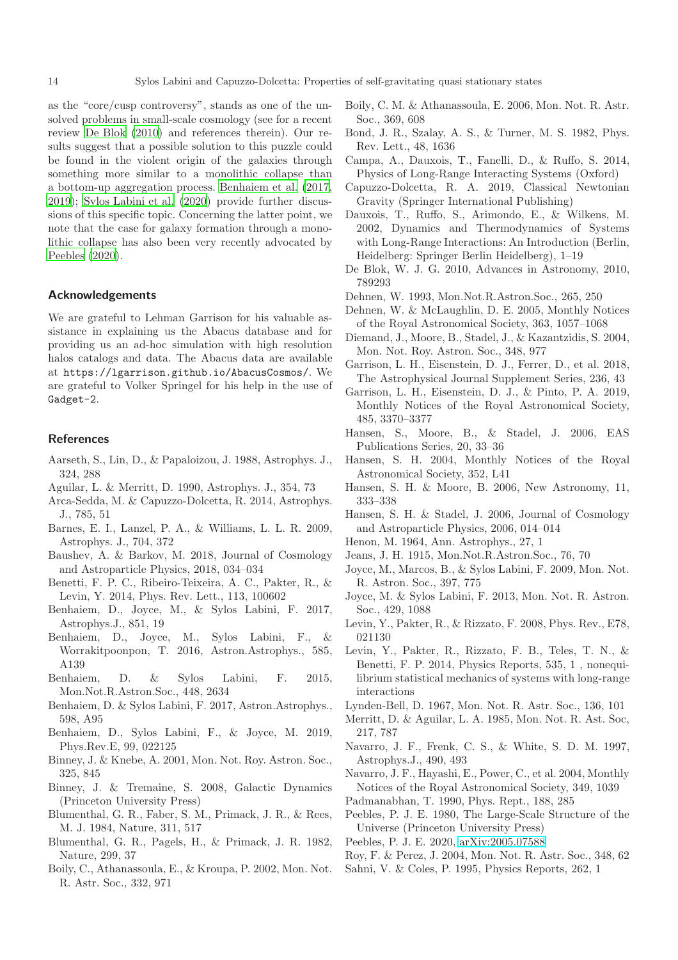as the "core/cusp controversy", stands as one of the unsolved problems in small-scale cosmology (see for a recent review [De Blok \(2010\)](#page-13-42) and references therein). Our results suggest that a possible solution to this puzzle could be found in the violent origin of the galaxies through something more similar to a monolithic collapse than a bottom-up aggregation process. [Benhaiem et al. \(2017,](#page-13-43) [2019](#page-13-44)); [Sylos Labini et al. \(2020](#page-14-10)) provide further discussions of this specific topic. Concerning the latter point, we note that the case for galaxy formation through a monolithic collapse has also been very recently advocated by [Peebles \(2020](#page-13-45)).

# Acknowledgements

We are grateful to Lehman Garrison for his valuable assistance in explaining us the Abacus database and for providing us an ad-hoc simulation with high resolution halos catalogs and data. The Abacus data are available at https://lgarrison.github.io/AbacusCosmos/. We are grateful to Volker Springel for his help in the use of Gadget-2.

#### **References**

- <span id="page-13-10"></span>Aarseth, S., Lin, D., & Papaloizou, J. 1988, Astrophys. J., 324, 288
- <span id="page-13-11"></span>Aguilar, L. & Merritt, D. 1990, Astrophys. J., 354, 73
- <span id="page-13-36"></span>Arca-Sedda, M. & Capuzzo-Dolcetta, R. 2014, Astrophys. J., 785, 51
- <span id="page-13-15"></span>Barnes, E. I., Lanzel, P. A., & Williams, L. L. R. 2009, Astrophys. J., 704, 372
- <span id="page-13-27"></span>Baushev, A. & Barkov, M. 2018, Journal of Cosmology and Astroparticle Physics, 2018, 034–034
- <span id="page-13-24"></span>Benetti, F. P. C., Ribeiro-Teixeira, A. C., Pakter, R., & Levin, Y. 2014, Phys. Rev. Lett., 113, 100602
- <span id="page-13-43"></span>Benhaiem, D., Joyce, M., & Sylos Labini, F. 2017, Astrophys.J., 851, 19
- <span id="page-13-19"></span>Benhaiem, D., Joyce, M., Sylos Labini, F., & Worrakitpoonpon, T. 2016, Astron.Astrophys., 585, A139
- <span id="page-13-18"></span>Benhaiem, D. & Sylos Labini, F. 2015, Mon.Not.R.Astron.Soc., 448, 2634
- <span id="page-13-20"></span>Benhaiem, D. & Sylos Labini, F. 2017, Astron.Astrophys., 598, A95
- <span id="page-13-44"></span>Benhaiem, D., Sylos Labini, F., & Joyce, M. 2019, Phys.Rev.E, 99, 022125
- <span id="page-13-32"></span>Binney, J. & Knebe, A. 2001, Mon. Not. Roy. Astron. Soc., 325, 845
- <span id="page-13-28"></span>Binney, J. & Tremaine, S. 2008, Galactic Dynamics (Princeton University Press)
- <span id="page-13-23"></span>Blumenthal, G. R., Faber, S. M., Primack, J. R., & Rees, M. J. 1984, Nature, 311, 517
- <span id="page-13-21"></span>Blumenthal, G. R., Pagels, H., & Primack, J. R. 1982, Nature, 299, 37
- <span id="page-13-12"></span>Boily, C., Athanassoula, E., & Kroupa, P. 2002, Mon. Not. R. Astr. Soc., 332, 971
- <span id="page-13-14"></span>Boily, C. M. & Athanassoula, E. 2006, Mon. Not. R. Astr. Soc., 369, 608
- <span id="page-13-22"></span>Bond, J. R., Szalay, A. S., & Turner, M. S. 1982, Phys. Rev. Lett., 48, 1636
- <span id="page-13-3"></span>Campa, A., Dauxois, T., Fanelli, D., & Ruffo, S. 2014, Physics of Long-Range Interacting Systems (Oxford)
- <span id="page-13-5"></span>Capuzzo-Dolcetta, R. A. 2019, Classical Newtonian Gravity (Springer International Publishing)
- <span id="page-13-2"></span>Dauxois, T., Ruffo, S., Arimondo, E., & Wilkens, M. 2002, Dynamics and Thermodynamics of Systems with Long-Range Interactions: An Introduction (Berlin, Heidelberg: Springer Berlin Heidelberg), 1–19
- <span id="page-13-42"></span>De Blok, W. J. G. 2010, Advances in Astronomy, 2010, 789293
- <span id="page-13-35"></span>Dehnen, W. 1993, Mon.Not.R.Astron.Soc., 265, 250
- <span id="page-13-41"></span>Dehnen, W. & McLaughlin, D. E. 2005, Monthly Notices of the Royal Astronomical Society, 363, 1057–1068
- <span id="page-13-33"></span>Diemand, J., Moore, B., Stadel, J., & Kazantzidis, S. 2004, Mon. Not. Roy. Astron. Soc., 348, 977
- <span id="page-13-25"></span>Garrison, L. H., Eisenstein, D. J., Ferrer, D., et al. 2018, The Astrophysical Journal Supplement Series, 236, 43
- <span id="page-13-26"></span>Garrison, L. H., Eisenstein, D. J., & Pinto, P. A. 2019, Monthly Notices of the Royal Astronomical Society, 485, 3370–3377
- <span id="page-13-40"></span>Hansen, S., Moore, B., & Stadel, J. 2006, EAS Publications Series, 20, 33–36
- <span id="page-13-38"></span>Hansen, S. H. 2004, Monthly Notices of the Royal Astronomical Society, 352, L41
- <span id="page-13-37"></span>Hansen, S. H. & Moore, B. 2006, New Astronomy, 11, 333–338
- <span id="page-13-39"></span>Hansen, S. H. & Stadel, J. 2006, Journal of Cosmology and Astroparticle Physics, 2006, 014–014
- <span id="page-13-9"></span>Henon, M. 1964, Ann. Astrophys., 27, 1
- <span id="page-13-29"></span>Jeans, J. H. 1915, Mon.Not.R.Astron.Soc., 76, 70
- <span id="page-13-16"></span>Joyce, M., Marcos, B., & Sylos Labini, F. 2009, Mon. Not. R. Astron. Soc., 397, 775
- <span id="page-13-8"></span>Joyce, M. & Sylos Labini, F. 2013, Mon. Not. R. Astron. Soc., 429, 1088
- <span id="page-13-34"></span>Levin, Y., Pakter, R., & Rizzato, F. 2008, Phys. Rev., E78, 021130
- <span id="page-13-4"></span>Levin, Y., Pakter, R., Rizzato, F. B., Teles, T. N., & Benetti, F. P. 2014, Physics Reports, 535, 1 , nonequilibrium statistical mechanics of systems with long-range interactions
- <span id="page-13-0"></span>Lynden-Bell, D. 1967, Mon. Not. R. Astr. Soc., 136, 101
- <span id="page-13-17"></span>Merritt, D. & Aguilar, L. A. 1985, Mon. Not. R. Ast. Soc, 217, 787
- <span id="page-13-30"></span>Navarro, J. F., Frenk, C. S., & White, S. D. M. 1997, Astrophys.J., 490, 493
- <span id="page-13-31"></span>Navarro, J. F., Hayashi, E., Power, C., et al. 2004, Monthly Notices of the Royal Astronomical Society, 349, 1039
- <span id="page-13-1"></span>Padmanabhan, T. 1990, Phys. Rept., 188, 285
- <span id="page-13-6"></span>Peebles, P. J. E. 1980, The Large-Scale Structure of the Universe (Princeton University Press)
- <span id="page-13-45"></span>Peebles, P. J. E. 2020, [arXiv:2005.07588](http://arxiv.org/abs/2005.07588)
- <span id="page-13-13"></span>Roy, F. & Perez, J. 2004, Mon. Not. R. Astr. Soc., 348, 62
- <span id="page-13-7"></span>Sahni, V. & Coles, P. 1995, Physics Reports, 262, 1